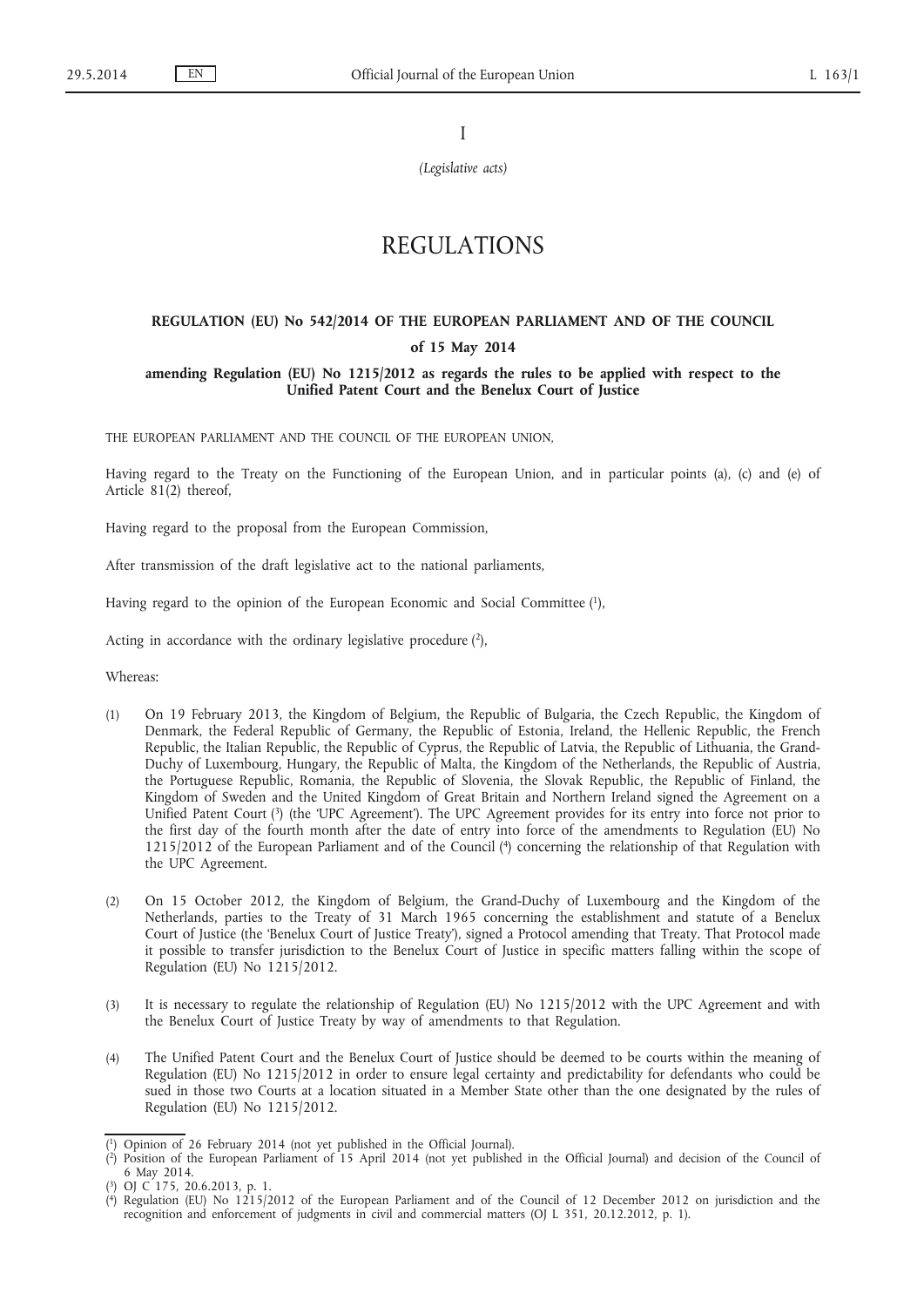I

*(Legislative acts)*

# REGULATIONS

# **REGULATION (EU) No 542/2014 OF THE EUROPEAN PARLIAMENT AND OF THE COUNCIL of 15 May 2014**

## **amending Regulation (EU) No 1215/2012 as regards the rules to be applied with respect to the Unified Patent Court and the Benelux Court of Justice**

THE EUROPEAN PARLIAMENT AND THE COUNCIL OF THE EUROPEAN UNION,

Having regard to the Treaty on the Functioning of the European Union, and in particular points (a), (c) and (e) of Article 81(2) thereof,

Having regard to the proposal from the European Commission,

After transmission of the draft legislative act to the national parliaments,

Having regard to the opinion of the European Economic and Social Committee (1),

Acting in accordance with the ordinary legislative procedure  $(2)$ ,

Whereas:

- (1) On 19 February 2013, the Kingdom of Belgium, the Republic of Bulgaria, the Czech Republic, the Kingdom of Denmark, the Federal Republic of Germany, the Republic of Estonia, Ireland, the Hellenic Republic, the French Republic, the Italian Republic, the Republic of Cyprus, the Republic of Latvia, the Republic of Lithuania, the Grand-Duchy of Luxembourg, Hungary, the Republic of Malta, the Kingdom of the Netherlands, the Republic of Austria, the Portuguese Republic, Romania, the Republic of Slovenia, the Slovak Republic, the Republic of Finland, the Kingdom of Sweden and the United Kingdom of Great Britain and Northern Ireland signed the Agreement on a Unified Patent Court (3) (the 'UPC Agreement'). The UPC Agreement provides for its entry into force not prior to the first day of the fourth month after the date of entry into force of the amendments to Regulation (EU) No 1215/2012 of the European Parliament and of the Council (4) concerning the relationship of that Regulation with the UPC Agreement.
- (2) On 15 October 2012, the Kingdom of Belgium, the Grand-Duchy of Luxembourg and the Kingdom of the Netherlands, parties to the Treaty of 31 March 1965 concerning the establishment and statute of a Benelux Court of Justice (the 'Benelux Court of Justice Treaty'), signed a Protocol amending that Treaty. That Protocol made it possible to transfer jurisdiction to the Benelux Court of Justice in specific matters falling within the scope of Regulation (EU) No 1215/2012.
- (3) It is necessary to regulate the relationship of Regulation (EU) No 1215/2012 with the UPC Agreement and with the Benelux Court of Justice Treaty by way of amendments to that Regulation.
- (4) The Unified Patent Court and the Benelux Court of Justice should be deemed to be courts within the meaning of Regulation (EU) No 1215/2012 in order to ensure legal certainty and predictability for defendants who could be sued in those two Courts at a location situated in a Member State other than the one designated by the rules of Regulation (EU) No 1215/2012.

<sup>(</sup> 1) Opinion of 26 February 2014 (not yet published in the Official Journal).

<sup>(</sup> 2) Position of the European Parliament of 15 April 2014 (not yet published in the Official Journal) and decision of the Council of 6 May 2014.

<sup>(</sup> 3) OJ C 175, 20.6.2013, p. 1.

<sup>(</sup> 4) Regulation (EU) No 1215/2012 of the European Parliament and of the Council of 12 December 2012 on jurisdiction and the recognition and enforcement of judgments in civil and commercial matters (OJ L 351, 20.12.2012, p. 1).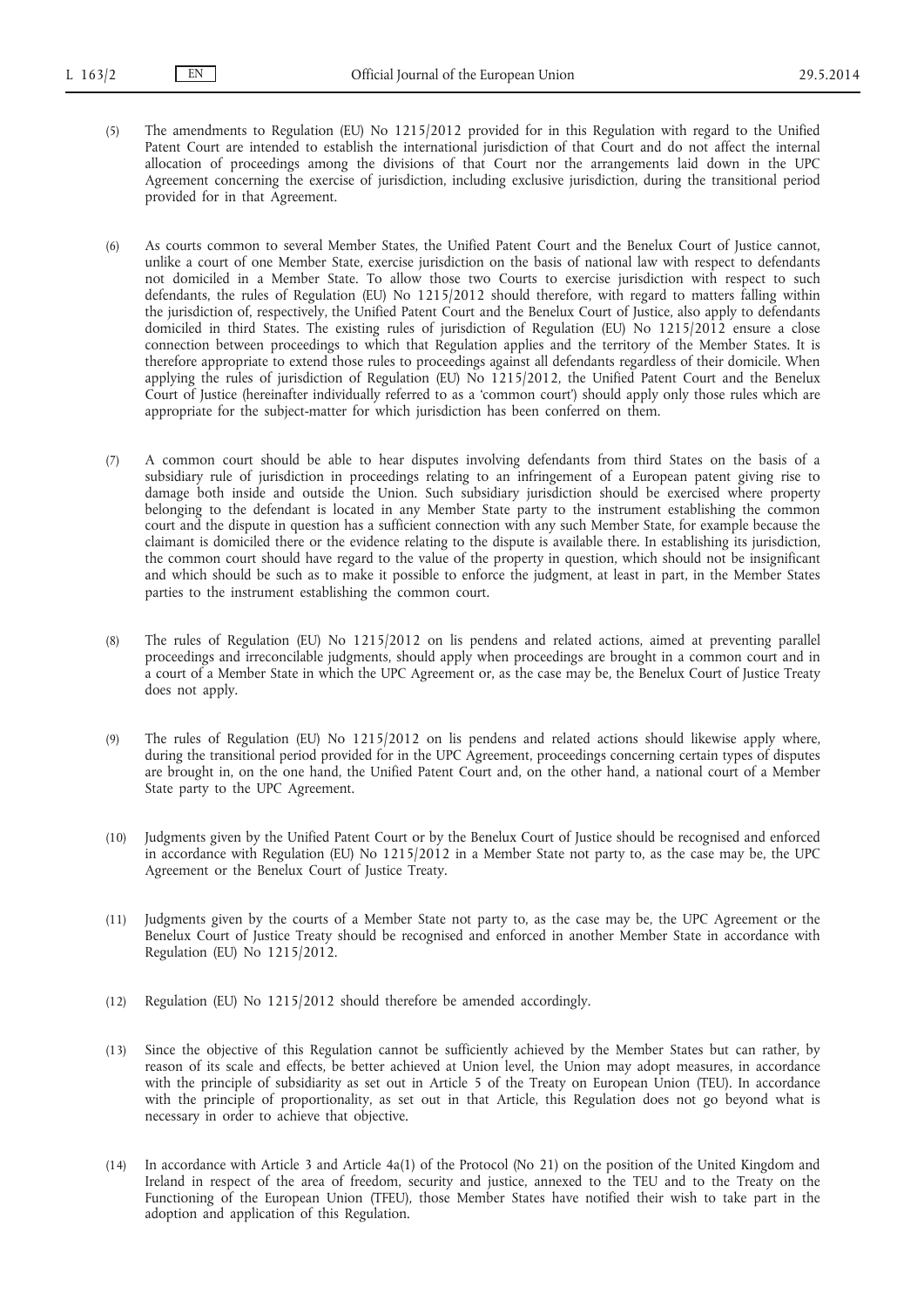- (5) The amendments to Regulation (EU) No 1215/2012 provided for in this Regulation with regard to the Unified Patent Court are intended to establish the international jurisdiction of that Court and do not affect the internal allocation of proceedings among the divisions of that Court nor the arrangements laid down in the UPC Agreement concerning the exercise of jurisdiction, including exclusive jurisdiction, during the transitional period provided for in that Agreement.
- (6) As courts common to several Member States, the Unified Patent Court and the Benelux Court of Justice cannot, unlike a court of one Member State, exercise jurisdiction on the basis of national law with respect to defendants not domiciled in a Member State. To allow those two Courts to exercise jurisdiction with respect to such defendants, the rules of Regulation (EU) No 1215/2012 should therefore, with regard to matters falling within the jurisdiction of, respectively, the Unified Patent Court and the Benelux Court of Justice, also apply to defendants domiciled in third States. The existing rules of jurisdiction of Regulation (EU) No 1215/2012 ensure a close connection between proceedings to which that Regulation applies and the territory of the Member States. It is therefore appropriate to extend those rules to proceedings against all defendants regardless of their domicile. When applying the rules of jurisdiction of Regulation (EU) No 1215/2012, the Unified Patent Court and the Benelux Court of Justice (hereinafter individually referred to as a 'common court') should apply only those rules which are appropriate for the subject-matter for which jurisdiction has been conferred on them.
- (7) A common court should be able to hear disputes involving defendants from third States on the basis of a subsidiary rule of jurisdiction in proceedings relating to an infringement of a European patent giving rise to damage both inside and outside the Union. Such subsidiary jurisdiction should be exercised where property belonging to the defendant is located in any Member State party to the instrument establishing the common court and the dispute in question has a sufficient connection with any such Member State, for example because the claimant is domiciled there or the evidence relating to the dispute is available there. In establishing its jurisdiction, the common court should have regard to the value of the property in question, which should not be insignificant and which should be such as to make it possible to enforce the judgment, at least in part, in the Member States parties to the instrument establishing the common court.
- (8) The rules of Regulation (EU) No 1215/2012 on lis pendens and related actions, aimed at preventing parallel proceedings and irreconcilable judgments, should apply when proceedings are brought in a common court and in a court of a Member State in which the UPC Agreement or, as the case may be, the Benelux Court of Justice Treaty does not apply.
- (9) The rules of Regulation (EU) No 1215/2012 on lis pendens and related actions should likewise apply where, during the transitional period provided for in the UPC Agreement, proceedings concerning certain types of disputes are brought in, on the one hand, the Unified Patent Court and, on the other hand, a national court of a Member State party to the UPC Agreement.
- (10) Judgments given by the Unified Patent Court or by the Benelux Court of Justice should be recognised and enforced in accordance with Regulation (EU) No 1215/2012 in a Member State not party to, as the case may be, the UPC Agreement or the Benelux Court of Justice Treaty.
- (11) Judgments given by the courts of a Member State not party to, as the case may be, the UPC Agreement or the Benelux Court of Justice Treaty should be recognised and enforced in another Member State in accordance with Regulation (EU) No 1215/2012.
- (12) Regulation (EU) No 1215/2012 should therefore be amended accordingly.
- (13) Since the objective of this Regulation cannot be sufficiently achieved by the Member States but can rather, by reason of its scale and effects, be better achieved at Union level, the Union may adopt measures, in accordance with the principle of subsidiarity as set out in Article 5 of the Treaty on European Union (TEU). In accordance with the principle of proportionality, as set out in that Article, this Regulation does not go beyond what is necessary in order to achieve that objective.
- (14) In accordance with Article 3 and Article 4a(1) of the Protocol (No 21) on the position of the United Kingdom and Ireland in respect of the area of freedom, security and justice, annexed to the TEU and to the Treaty on the Functioning of the European Union (TFEU), those Member States have notified their wish to take part in the adoption and application of this Regulation.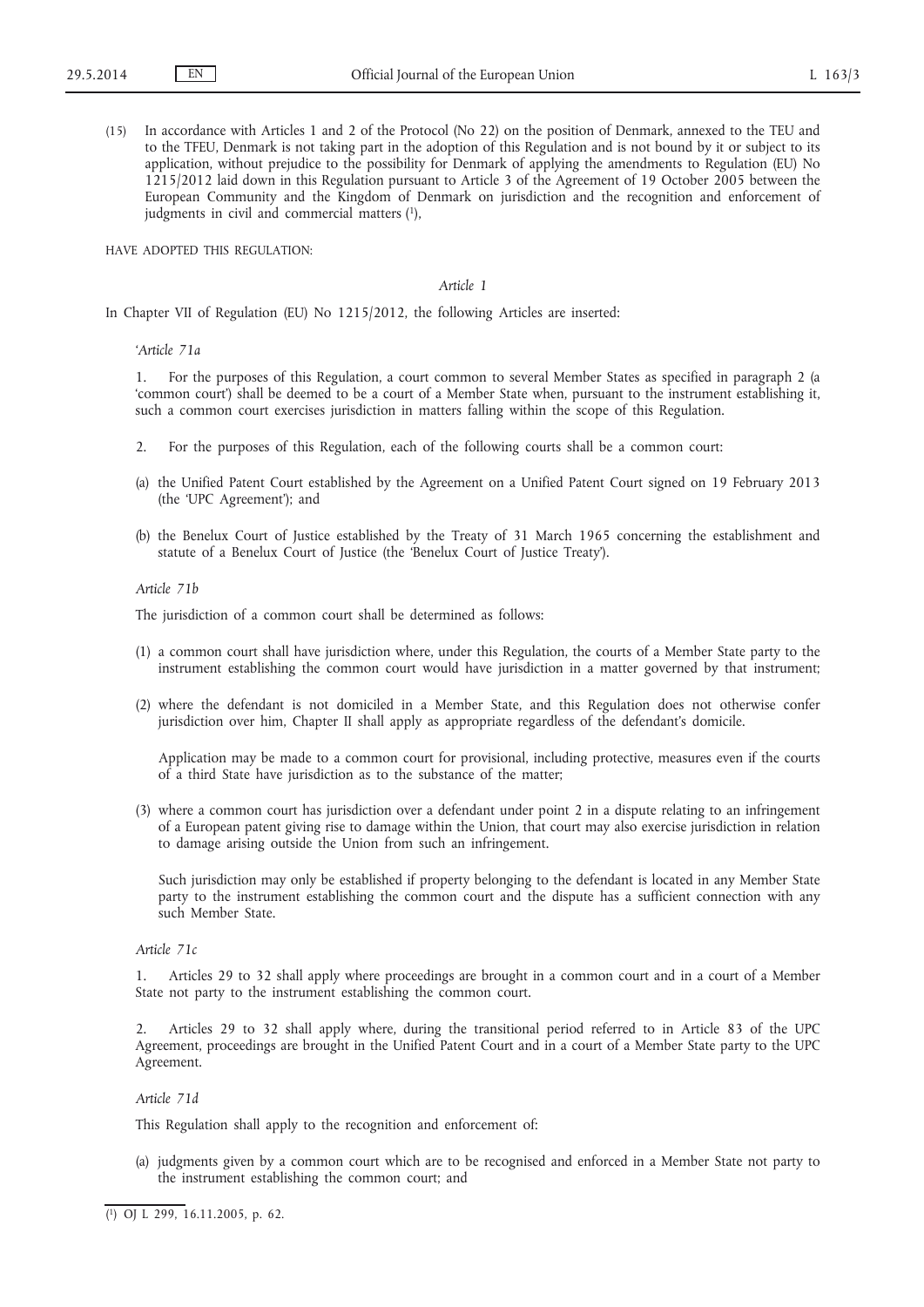(15) In accordance with Articles 1 and 2 of the Protocol (No 22) on the position of Denmark, annexed to the TEU and to the TFEU, Denmark is not taking part in the adoption of this Regulation and is not bound by it or subject to its application, without prejudice to the possibility for Denmark of applying the amendments to Regulation (EU) No 1215/2012 laid down in this Regulation pursuant to Article 3 of the Agreement of 19 October 2005 between the European Community and the Kingdom of Denmark on jurisdiction and the recognition and enforcement of judgments in civil and commercial matters  $(1)$ ,

HAVE ADOPTED THIS REGULATION:

#### *Article 1*

In Chapter VII of Regulation (EU) No 1215/2012, the following Articles are inserted:

#### *'Article 71a*

1. For the purposes of this Regulation, a court common to several Member States as specified in paragraph 2 (a 'common court') shall be deemed to be a court of a Member State when, pursuant to the instrument establishing it, such a common court exercises jurisdiction in matters falling within the scope of this Regulation.

- 2. For the purposes of this Regulation, each of the following courts shall be a common court:
- (a) the Unified Patent Court established by the Agreement on a Unified Patent Court signed on 19 February 2013 (the 'UPC Agreement'); and
- (b) the Benelux Court of Justice established by the Treaty of 31 March 1965 concerning the establishment and statute of a Benelux Court of Justice (the 'Benelux Court of Justice Treaty').

#### *Article 71b*

The jurisdiction of a common court shall be determined as follows:

- (1) a common court shall have jurisdiction where, under this Regulation, the courts of a Member State party to the instrument establishing the common court would have jurisdiction in a matter governed by that instrument;
- (2) where the defendant is not domiciled in a Member State, and this Regulation does not otherwise confer jurisdiction over him, Chapter II shall apply as appropriate regardless of the defendant's domicile.

Application may be made to a common court for provisional, including protective, measures even if the courts of a third State have jurisdiction as to the substance of the matter;

(3) where a common court has jurisdiction over a defendant under point 2 in a dispute relating to an infringement of a European patent giving rise to damage within the Union, that court may also exercise jurisdiction in relation to damage arising outside the Union from such an infringement.

Such jurisdiction may only be established if property belonging to the defendant is located in any Member State party to the instrument establishing the common court and the dispute has a sufficient connection with any such Member State.

## *Article 71c*

1. Articles 29 to 32 shall apply where proceedings are brought in a common court and in a court of a Member State not party to the instrument establishing the common court.

2. Articles 29 to 32 shall apply where, during the transitional period referred to in Article 83 of the UPC Agreement, proceedings are brought in the Unified Patent Court and in a court of a Member State party to the UPC Agreement.

#### *Article 71d*

This Regulation shall apply to the recognition and enforcement of:

(a) judgments given by a common court which are to be recognised and enforced in a Member State not party to the instrument establishing the common court; and

<sup>(</sup> 1) OJ L 299, 16.11.2005, p. 62.